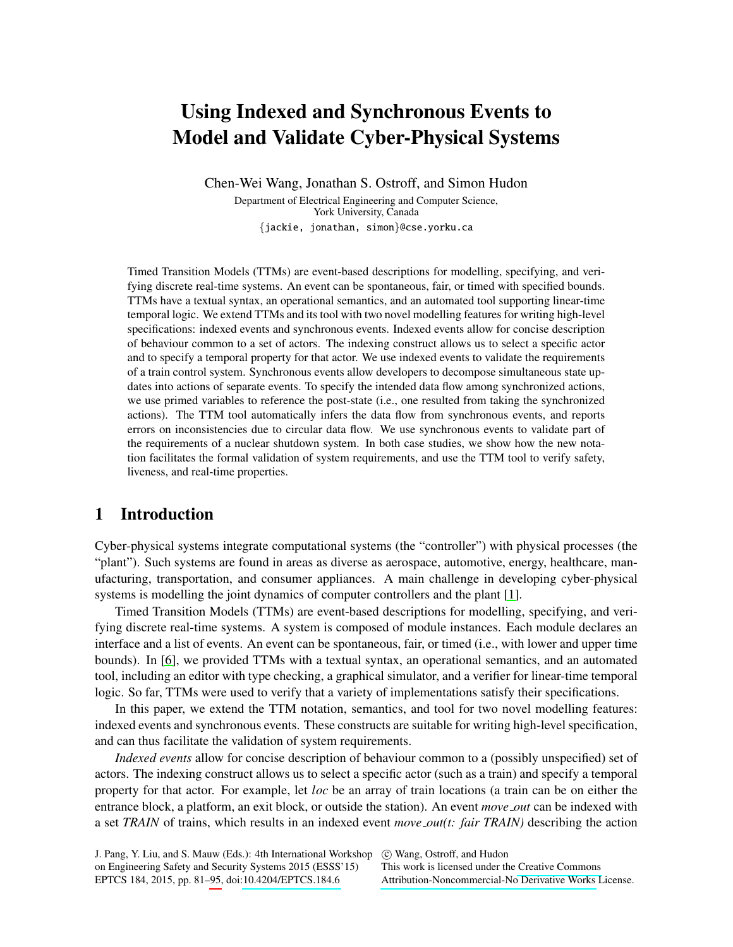# Using Indexed and Synchronous Events to Model and Validate Cyber-Physical Systems

Chen-Wei Wang, Jonathan S. Ostroff, and Simon Hudon

Department of Electrical Engineering and Computer Science, York University, Canada {jackie, jonathan, simon}@cse.yorku.ca

Timed Transition Models (TTMs) are event-based descriptions for modelling, specifying, and verifying discrete real-time systems. An event can be spontaneous, fair, or timed with specified bounds. TTMs have a textual syntax, an operational semantics, and an automated tool supporting linear-time temporal logic. We extend TTMs and its tool with two novel modelling features for writing high-level specifications: indexed events and synchronous events. Indexed events allow for concise description of behaviour common to a set of actors. The indexing construct allows us to select a specific actor and to specify a temporal property for that actor. We use indexed events to validate the requirements of a train control system. Synchronous events allow developers to decompose simultaneous state updates into actions of separate events. To specify the intended data flow among synchronized actions, we use primed variables to reference the post-state (i.e., one resulted from taking the synchronized actions). The TTM tool automatically infers the data flow from synchronous events, and reports errors on inconsistencies due to circular data flow. We use synchronous events to validate part of the requirements of a nuclear shutdown system. In both case studies, we show how the new notation facilitates the formal validation of system requirements, and use the TTM tool to verify safety, liveness, and real-time properties.

## 1 Introduction

Cyber-physical systems integrate computational systems (the "controller") with physical processes (the "plant"). Such systems are found in areas as diverse as aerospace, automotive, energy, healthcare, manufacturing, transportation, and consumer appliances. A main challenge in developing cyber-physical systems is modelling the joint dynamics of computer controllers and the plant [\[1\]](#page-13-0).

Timed Transition Models (TTMs) are event-based descriptions for modelling, specifying, and verifying discrete real-time systems. A system is composed of module instances. Each module declares an interface and a list of events. An event can be spontaneous, fair, or timed (i.e., with lower and upper time bounds). In [\[6\]](#page-13-1), we provided TTMs with a textual syntax, an operational semantics, and an automated tool, including an editor with type checking, a graphical simulator, and a verifier for linear-time temporal logic. So far, TTMs were used to verify that a variety of implementations satisfy their specifications.

In this paper, we extend the TTM notation, semantics, and tool for two novel modelling features: indexed events and synchronous events. These constructs are suitable for writing high-level specification, and can thus facilitate the validation of system requirements.

*Indexed events* allow for concise description of behaviour common to a (possibly unspecified) set of actors. The indexing construct allows us to select a specific actor (such as a train) and specify a temporal property for that actor. For example, let *loc* be an array of train locations (a train can be on either the entrance block, a platform, an exit block, or outside the station). An event *move out* can be indexed with a set *TRAIN* of trains, which results in an indexed event *move out(t: fair TRAIN)* describing the action

This work is licensed under the [Creative Commons](http://creativecommons.org) [Attribution-Noncommercial-No Derivative Works](http://creativecommons.org/licenses/by-nc-nd/3.0/) License.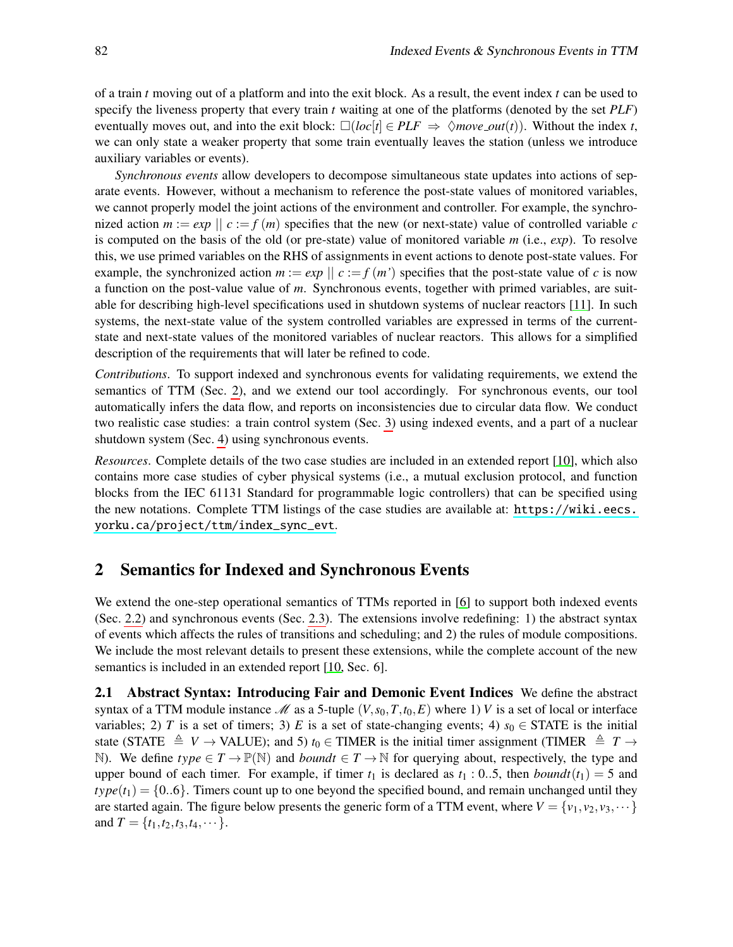of a train *t* moving out of a platform and into the exit block. As a result, the event index *t* can be used to specify the liveness property that every train *t* waiting at one of the platforms (denoted by the set *PLF*) eventually moves out, and into the exit block:  $\Box(i\cdot o c[t] \in PLF \Rightarrow \Diamond move\_out(t))$ . Without the index *t*, we can only state a weaker property that some train eventually leaves the station (unless we introduce auxiliary variables or events).

*Synchronous events* allow developers to decompose simultaneous state updates into actions of separate events. However, without a mechanism to reference the post-state values of monitored variables, we cannot properly model the joint actions of the environment and controller. For example, the synchronized action  $m := exp \mid c := f(m)$  specifies that the new (or next-state) value of controlled variable *c* is computed on the basis of the old (or pre-state) value of monitored variable *m* (i.e., *exp*). To resolve this, we use primed variables on the RHS of assignments in event actions to denote post-state values. For example, the synchronized action  $m := exp \mid c := f(m')$  specifies that the post-state value of *c* is now a function on the post-value value of *m*. Synchronous events, together with primed variables, are suitable for describing high-level specifications used in shutdown systems of nuclear reactors [\[11\]](#page-13-2). In such systems, the next-state value of the system controlled variables are expressed in terms of the currentstate and next-state values of the monitored variables of nuclear reactors. This allows for a simplified description of the requirements that will later be refined to code.

*Contributions*. To support indexed and synchronous events for validating requirements, we extend the semantics of TTM (Sec. [2\)](#page-1-0), and we extend our tool accordingly. For synchronous events, our tool automatically infers the data flow, and reports on inconsistencies due to circular data flow. We conduct two realistic case studies: a train control system (Sec. [3\)](#page-6-0) using indexed events, and a part of a nuclear shutdown system (Sec. [4\)](#page-8-0) using synchronous events.

*Resources*. Complete details of the two case studies are included in an extended report [\[10\]](#page-13-3), which also contains more case studies of cyber physical systems (i.e., a mutual exclusion protocol, and function blocks from the IEC 61131 Standard for programmable logic controllers) that can be specified using the new notations. Complete TTM listings of the case studies are available at: [https://wiki.eecs.](https://wiki.eecs.yorku.ca/project/ttm/index_sync_evt) [yorku.ca/project/ttm/index\\_sync\\_evt](https://wiki.eecs.yorku.ca/project/ttm/index_sync_evt).

## <span id="page-1-0"></span>2 Semantics for Indexed and Synchronous Events

We extend the one-step operational semantics of TTMs reported in [\[6\]](#page-13-1) to support both indexed events (Sec. [2.2\)](#page-2-0) and synchronous events (Sec. [2.3\)](#page-4-0). The extensions involve redefining: 1) the abstract syntax of events which affects the rules of transitions and scheduling; and 2) the rules of module compositions. We include the most relevant details to present these extensions, while the complete account of the new semantics is included in an extended report [\[10,](#page-13-3) Sec. 6].

<span id="page-1-1"></span>2.1 Abstract Syntax: Introducing Fair and Demonic Event Indices We define the abstract syntax of a TTM module instance  $\mathcal{M}$  as a 5-tuple  $(V, s_0, T, t_0, E)$  where 1) *V* is a set of local or interface variables; 2) *T* is a set of timers; 3) *E* is a set of state-changing events; 4)  $s_0 \in$  STATE is the initial state (STATE  $\triangleq V \rightarrow$  VALUE); and 5)  $t_0 \in$  TIMER is the initial timer assignment (TIMER  $\triangleq T \rightarrow$ N). We define  $type \in T \to \mathbb{P}(\mathbb{N})$  and *boundt*  $\in T \to \mathbb{N}$  for querying about, respectively, the type and upper bound of each timer. For example, if timer  $t_1$  is declared as  $t_1$  : 0..5, then *boundt*( $t_1$ ) = 5 and  $type(t_1) = \{0..6\}$ . Timers count up to one beyond the specified bound, and remain unchanged until they are started again. The figure below presents the generic form of a TTM event, where  $V = \{v_1, v_2, v_3, \dots\}$ and  $T = \{t_1, t_2, t_3, t_4, \dots\}.$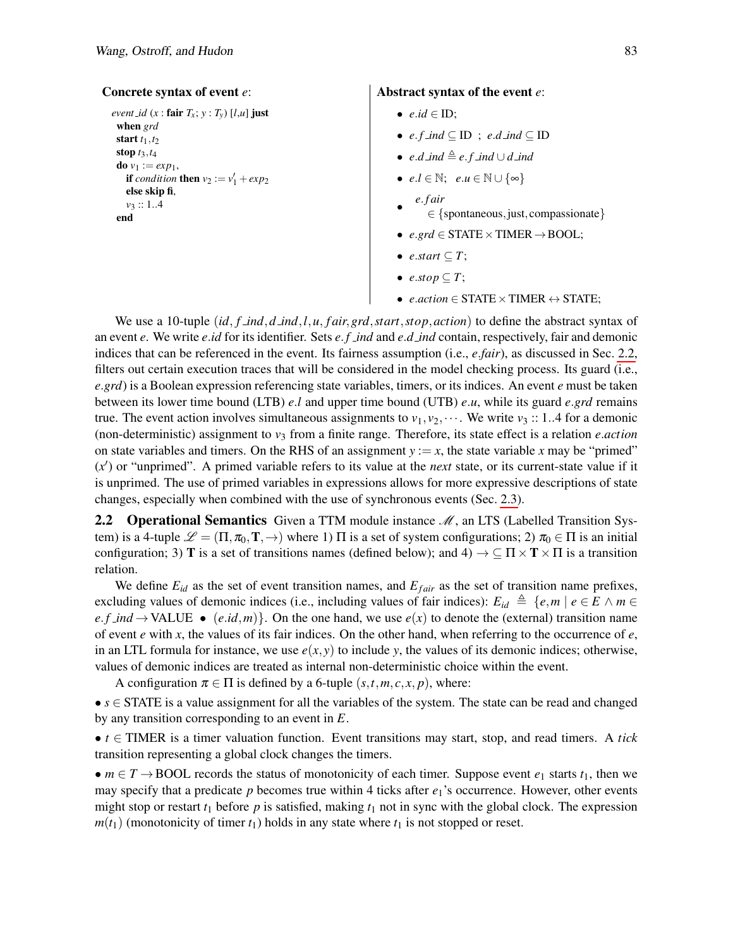```
Concrete syntax of event e:
  event id (x : \text{fair } T_x; y : T_y) [l,u] just
   when grd
   start t_1, t_2stop t3,t4
   do v_1 := exp_1,
     if condition then v_2 := v'_1 + exp_2else skip fi,
     v3 :: 1..4
   end
                                                              Abstract syntax of the event e:
                                                                   • e.id \in ID;• e. f ind ⊆ ID ; e.d ind ⊆ ID
                                                                  • e.d ind , e. f ind ∪ d ind
                                                                   • e.l ∈ N; e.u ∈ N ∪ {∞}
                                                                   •
                                                                       e. f air
                                                                          ∈ {spontaneous,just, compassionate}
                                                                  • e.grd \in STATE \times TIME \rightarrow BOOL;• e.start \subseteq T;
                                                                   • e.stop \subseteq T;
                                                                   • e.action ∈ STATE×TIMER ↔ STATE;
```
We use a 10-tuple (*id*, *f ind*,*d ind*,*l*,*u*, *f air*,*grd*,*start*,*stop*,*action*) to define the abstract syntax of an event *e*. We write *e*.*id* for its identifier. Sets *e*. *f ind* and *e*.*d ind* contain, respectively, fair and demonic indices that can be referenced in the event. Its fairness assumption (i.e., *e*.*fair*), as discussed in Sec. [2.2,](#page-2-0) filters out certain execution traces that will be considered in the model checking process. Its guard (i.e., *e*.*grd*) is a Boolean expression referencing state variables, timers, or its indices. An event *e* must be taken between its lower time bound (LTB) *e*.*l* and upper time bound (UTB) *e*.*u*, while its guard *e*.*grd* remains true. The event action involves simultaneous assignments to  $v_1, v_2, \cdots$ . We write  $v_3$  :: 1..4 for a demonic (non-deterministic) assignment to *v*<sup>3</sup> from a finite range. Therefore, its state effect is a relation *e*.*action* on state variables and timers. On the RHS of an assignment  $y := x$ , the state variable x may be "primed" (*x* 0 ) or "unprimed". A primed variable refers to its value at the *next* state, or its current-state value if it is unprimed. The use of primed variables in expressions allows for more expressive descriptions of state changes, especially when combined with the use of synchronous events (Sec. [2.3\)](#page-4-0).

<span id="page-2-0"></span>2.2 **Operational Semantics** Given a TTM module instance  $\mathcal{M}$ , an LTS (Labelled Transition System) is a 4-tuple  $\mathscr{L} = (\Pi, \pi_0, \mathbf{T}, \rightarrow)$  where 1)  $\Pi$  is a set of system configurations; 2)  $\pi_0 \in \Pi$  is an initial configuration; 3) **T** is a set of transitions names (defined below); and 4)  $\rightarrow \subseteq \Pi \times \mathbf{T} \times \Pi$  is a transition relation.

We define  $E_{id}$  as the set of event transition names, and  $E_{fair}$  as the set of transition name prefixes, excluding values of demonic indices (i.e., including values of fair indices):  $E_{id} \triangleq \{e, m \mid e \in E \land m \in E\}$  $e.f\_ind \rightarrow \text{VALUE} \bullet (e.id,m)$ . On the one hand, we use  $e(x)$  to denote the (external) transition name of event *e* with *x*, the values of its fair indices. On the other hand, when referring to the occurrence of *e*, in an LTL formula for instance, we use  $e(x, y)$  to include *y*, the values of its demonic indices; otherwise, values of demonic indices are treated as internal non-deterministic choice within the event.

A configuration  $\pi \in \Pi$  is defined by a 6-tuple  $(s, t, m, c, x, p)$ , where:

•  $s \in$  STATE is a value assignment for all the variables of the system. The state can be read and changed by any transition corresponding to an event in *E*.

•  $t \in$  TIMER is a timer valuation function. Event transitions may start, stop, and read timers. A *tick* transition representing a global clock changes the timers.

•  $m \in T \rightarrow \text{BOOL}$  records the status of monotonicity of each timer. Suppose event  $e_1$  starts  $t_1$ , then we may specify that a predicate *p* becomes true within 4 ticks after  $e_1$ 's occurrence. However, other events might stop or restart  $t_1$  before  $p$  is satisfied, making  $t_1$  not in sync with the global clock. The expression  $m(t_1)$  (monotonicity of timer  $t_1$ ) holds in any state where  $t_1$  is not stopped or reset.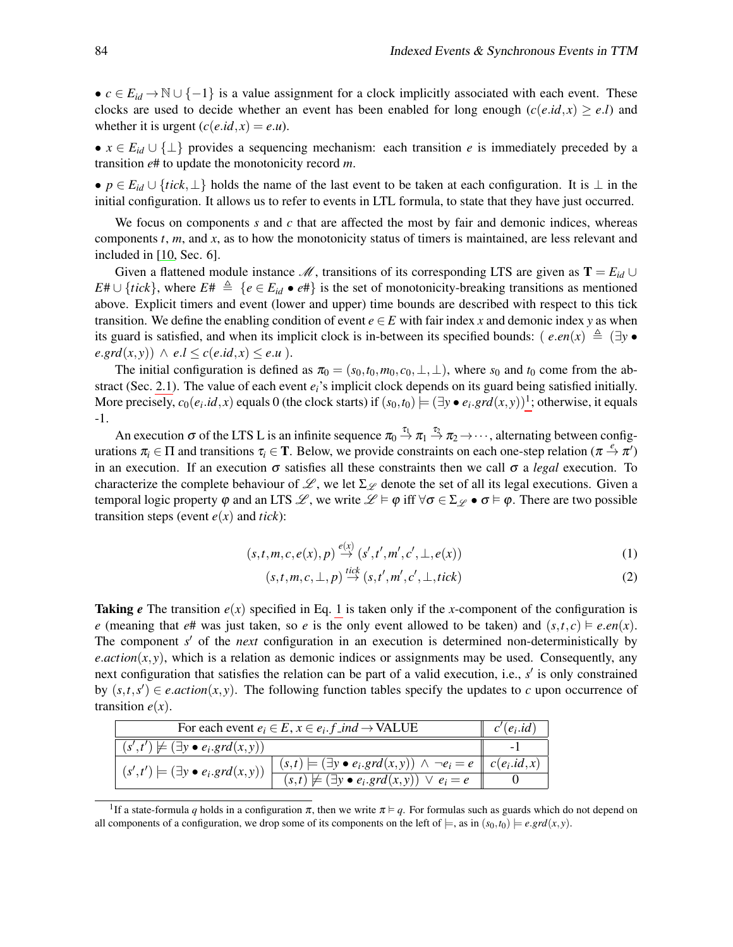•  $c \in E_{id} \to \mathbb{N} \cup \{-1\}$  is a value assignment for a clock implicitly associated with each event. These clocks are used to decide whether an event has been enabled for long enough  $(c(e.id, x) \ge e.l)$  and whether it is urgent  $(c(e.id, x) = e.u)$ .

•  $x \in E_{id} \cup \{\perp\}$  provides a sequencing mechanism: each transition *e* is immediately preceded by a transition *e*# to update the monotonicity record *m*.

• *p* ∈ *Eid* ∪ {*tick*,⊥} holds the name of the last event to be taken at each configuration. It is ⊥ in the initial configuration. It allows us to refer to events in LTL formula, to state that they have just occurred.

We focus on components *s* and *c* that are affected the most by fair and demonic indices, whereas components *t*, *m*, and *x*, as to how the monotonicity status of timers is maintained, are less relevant and included in [\[10,](#page-13-3) Sec. 6].

Given a flattened module instance  $\mathcal{M}$ , transitions of its corresponding LTS are given as  $\mathbf{T} = E_{id} \cup$ *E*#∪ {*tick*}, where *E*#  $\triangleq \{e \in E_{id} \bullet e\}$  is the set of monotonicity-breaking transitions as mentioned above. Explicit timers and event (lower and upper) time bounds are described with respect to this tick transition. We define the enabling condition of event  $e \in E$  with fair index *x* and demonic index *y* as when its guard is satisfied, and when its implicit clock is in-between its specified bounds: (*e.en*(*x*)  $\triangleq$  (∃*y* •  $e.grd(x, y) \wedge e.l \leq c(e.id, x) \leq e.u$ ).

The initial configuration is defined as  $\pi_0 = (s_0, t_0, m_0, c_0, \perp, \perp)$ , where  $s_0$  and  $t_0$  come from the abstract (Sec. [2.1\)](#page-1-1). The value of each event *ei*'s implicit clock depends on its guard being satisfied initially. More precisely,  $c_0(e_i.id, x)$  equals 0 (the clock starts) if  $(s_0, t_0) \models (\exists y \bullet e_i \cdot \text{grad}(x, y))^1$  $(s_0, t_0) \models (\exists y \bullet e_i \cdot \text{grad}(x, y))^1$ ; otherwise, it equals -1.

An execution  $\sigma$  of the LTS L is an infinite sequence  $\pi_0 \stackrel{\tau_1}{\rightarrow} \pi_1 \stackrel{\tau_2}{\rightarrow} \pi_2 \rightarrow \cdots$ , alternating between configurations  $\pi_i \in \Pi$  and transitions  $\tau_i \in \mathbf{T}$ . Below, we provide constraints on each one-step relation  $(\pi \stackrel{e}{\to} \pi')$ in an execution. If an execution  $\sigma$  satisfies all these constraints then we call  $\sigma$  a *legal* execution. To characterize the complete behaviour of  $\mathcal{L}$ , we let  $\Sigma_{\mathcal{L}}$  denote the set of all its legal executions. Given a temporal logic property  $\varphi$  and an LTS  $\mathscr{L}$ , we write  $\mathscr{L} \models \varphi$  iff  $\forall \sigma \in \Sigma$   $\varphi \bullet \sigma \models \varphi$ . There are two possible transition steps (event  $e(x)$  and *tick*):

<span id="page-3-1"></span>
$$
(s,t,m,c,e(x),p) \stackrel{e(x)}{\rightarrow} (s',t',m',c',\perp,e(x))
$$
 (1)

$$
(s,t,m,c,\perp,p) \stackrel{tick}{\rightarrow} (s,t',m',c',\perp,tick)
$$
 (2)

**Taking** *e* The transition  $e(x)$  specified in Eq. [1](#page-3-1) is taken only if the *x*-component of the configuration is *e* (meaning that *e*# was just taken, so *e* is the only event allowed to be taken) and  $(s,t,c) \models e.en(x)$ . The component *s'* of the *next* configuration in an execution is determined non-deterministically by *e*.*action*( $x, y$ ), which is a relation as demonic indices or assignments may be used. Consequently, any next configuration that satisfies the relation can be part of a valid execution, i.e., s' is only constrained by  $(s,t,s') \in$  *e.action*(*x*, *y*). The following function tables specify the updates to *c* upon occurrence of transition  $e(x)$ .

| For each event $e_i \in E$ , $x \in e_i$ . f_ind $\rightarrow$ VALUE                                                                                                                                                                      |  | $c'(e_i.id)$ |
|-------------------------------------------------------------------------------------------------------------------------------------------------------------------------------------------------------------------------------------------|--|--------------|
| $(s',t') \not\models (\exists y \bullet e_i, \text{grd}(x,y))$                                                                                                                                                                            |  |              |
| $(s',t')\models (\exists y\bullet e_i.grd(x,y))\; \begin{array}{ l } (s,t)\models (\exists y\bullet e_i.grd(x,y)) \;\wedge\; \neg e_i=e & c(e_i.id,x) \\ (s,t)\not\models (\exists y\bullet e_i.grd(x,y)) \;\vee\; e_i=e & 0 \end{array}$ |  |              |
|                                                                                                                                                                                                                                           |  |              |

<span id="page-3-0"></span><sup>&</sup>lt;sup>1</sup>If a state-formula *q* holds in a configuration  $\pi$ , then we write  $\pi \models q$ . For formulas such as guards which do not depend on all components of a configuration, we drop some of its components on the left of  $\models$ , as in  $(s_0, t_0) \models e \cdot \text{grad}(x, y)$ .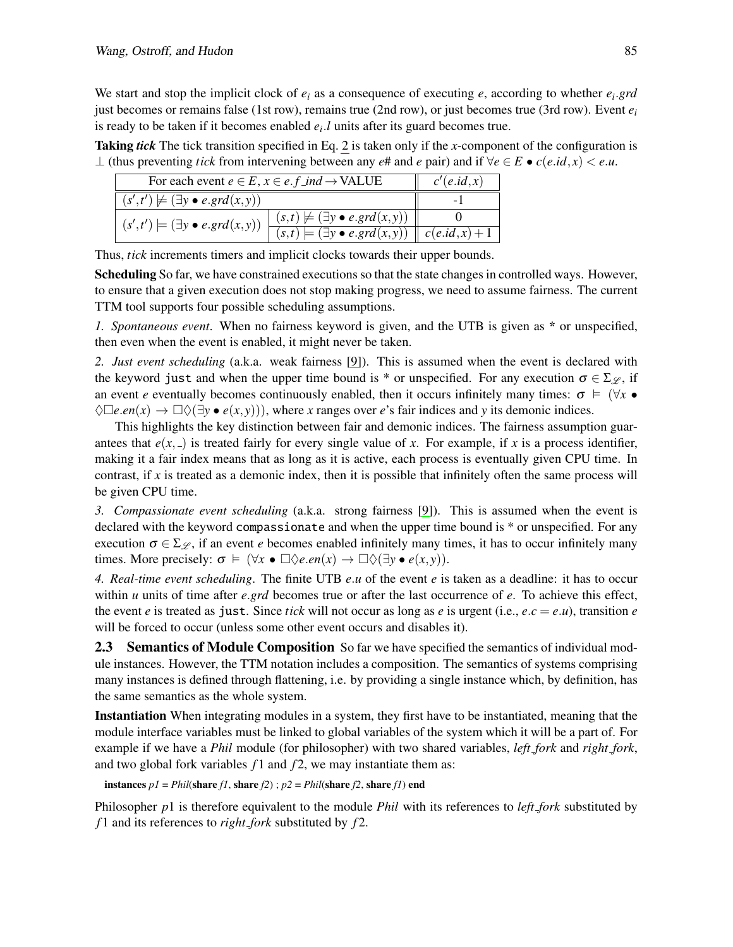We start and stop the implicit clock of *e<sup>i</sup>* as a consequence of executing *e*, according to whether *e<sup>i</sup>* .*grd* just becomes or remains false (1st row), remains true (2nd row), or just becomes true (3rd row). Event *e<sup>i</sup>* is ready to be taken if it becomes enabled *e<sup>i</sup>* .*l* units after its guard becomes true.

Taking *tick* The tick transition specified in Eq. [2](#page-3-1) is taken only if the *x*-component of the configuration is ⊥ (thus preventing *tick* from intervening between any  $e#$  and  $e$  pair) and if  $\forall e \in E \bullet c(e.id, x) < e.u.$ 

| For each event $e \in E$ , $x \in e$ . $f$ ind $\rightarrow$ VALUE |                                                                   | c'(e.id, x) |
|--------------------------------------------------------------------|-------------------------------------------------------------------|-------------|
| $(s',t') \not\models (\exists y \bullet e.grd(x,y))$               |                                                                   |             |
| $(s',t') \models (\exists y \bullet e.grd(x,y))$                   | $(s,t) \not\models (\exists y \bullet e.grd(x,y))$                |             |
|                                                                    | $(s,t) \models (\exists y \bullet e.grd(x,y)) \mid c(e.id,x) + 1$ |             |

Thus, *tick* increments timers and implicit clocks towards their upper bounds.

Scheduling So far, we have constrained executions so that the state changes in controlled ways. However, to ensure that a given execution does not stop making progress, we need to assume fairness. The current TTM tool supports four possible scheduling assumptions.

*1. Spontaneous event*. When no fairness keyword is given, and the UTB is given as \* or unspecified, then even when the event is enabled, it might never be taken.

*2. Just event scheduling* (a.k.a. weak fairness [\[9\]](#page-13-4)). This is assumed when the event is declared with the keyword just and when the upper time bound is \* or unspecified. For any execution  $\sigma \in \Sigma_{\mathscr{L}}$ , if an event *e* eventually becomes continuously enabled, then it occurs infinitely many times:  $\sigma \models (\forall x \bullet$  $\Diamond \Box e . en(x) \rightarrow \Box \Diamond (\exists y \bullet e(x, y))$ , where *x* ranges over *e*'s fair indices and *y* its demonic indices.

This highlights the key distinction between fair and demonic indices. The fairness assumption guarantees that  $e(x, z)$  is treated fairly for every single value of *x*. For example, if *x* is a process identifier, making it a fair index means that as long as it is active, each process is eventually given CPU time. In contrast, if *x* is treated as a demonic index, then it is possible that infinitely often the same process will be given CPU time.

*3. Compassionate event scheduling* (a.k.a. strong fairness [\[9\]](#page-13-4)). This is assumed when the event is declared with the keyword compassionate and when the upper time bound is \* or unspecified. For any execution  $\sigma \in \Sigma$ , if an event *e* becomes enabled infinitely many times, it has to occur infinitely many times. More precisely:  $\sigma \models (\forall x \bullet \Box \Diamond e. en(x) \rightarrow \Box \Diamond (\exists y \bullet e(x, y)).$ 

*4. Real-time event scheduling*. The finite UTB *e*.*u* of the event *e* is taken as a deadline: it has to occur within *u* units of time after *e*.*grd* becomes true or after the last occurrence of *e*. To achieve this effect, the event *e* is treated as just. Since *tick* will not occur as long as *e* is urgent (i.e.,  $e.c = e.u$ ), transition *e* will be forced to occur (unless some other event occurs and disables it).

<span id="page-4-0"></span>**2.3** Semantics of Module Composition So far we have specified the semantics of individual module instances. However, the TTM notation includes a composition. The semantics of systems comprising many instances is defined through flattening, i.e. by providing a single instance which, by definition, has the same semantics as the whole system.

Instantiation When integrating modules in a system, they first have to be instantiated, meaning that the module interface variables must be linked to global variables of the system which it will be a part of. For example if we have a *Phil* module (for philosopher) with two shared variables, *left fork* and *right fork*, and two global fork variables  $f_1$  and  $f_2$ , we may instantiate them as:

instances  $pI = Phil(\text{share } fI, \text{ share } f2)$ ;  $p2 = Phil(\text{share } f2, \text{ share } fI)$  end

Philosopher *p*1 is therefore equivalent to the module *Phil* with its references to *left fork* substituted by *f* 1 and its references to *right fork* substituted by *f* 2.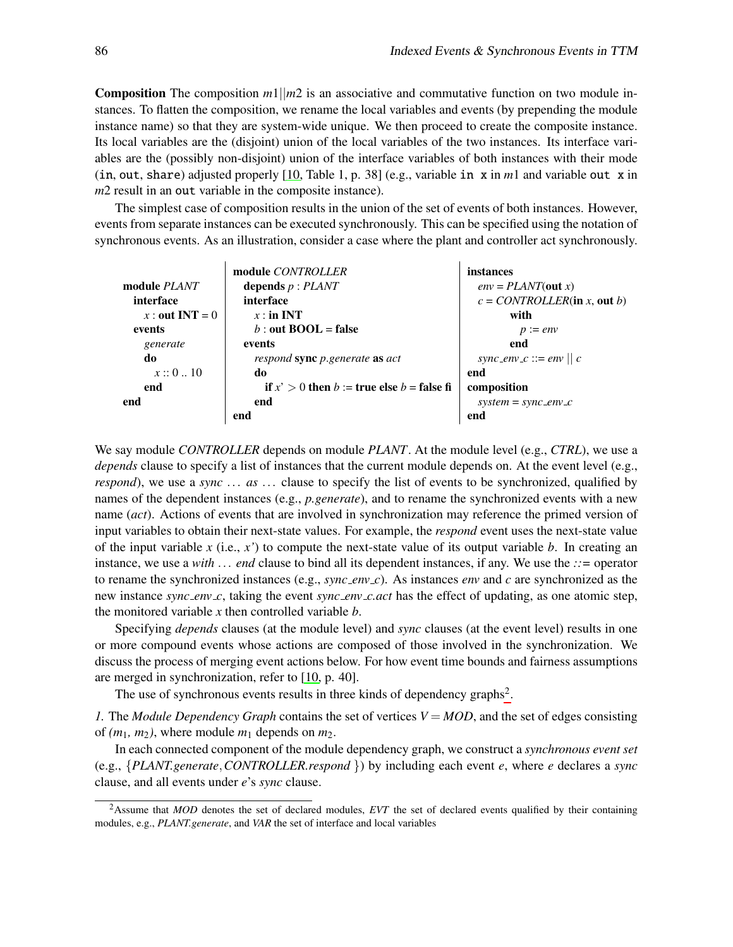Composition The composition *m*1||*m*2 is an associative and commutative function on two module in-**Composition** The composition  $m_1 | m_2$  is an associative and commutative function on two module instances. To flatten the composition, we rename the local variables and events (by prepending the module instance name) so that they are system-wide unique. We then proceed to create the composite instance. Its local variables are the (disjoint) union of the local variables of the two instances. Its interface variables are the (possibly non-disjoint) union of the interface variables of both instances with their mode (in, out, share) adjusted properly [\[10,](#page-13-3) Table 1, p. 38] (e.g., variable in x in *m*1 and variable out x in (in, out, snare) adjusted properly  $[10, 1$  able 1, p. 38]  $m2$  result in an out variable in the composite instance). in a general manner. This is why, in the refined version (Figure 5b), we use a C# FIFO *Queue* to

The simplest case of composition results in the union of the set of events of both instances. However, events from separate instances can be executed synchronously. This can be specified using the notation of synchronous events. As an illustration, consider a case where the plant and controller act synchronously.

|                     | module <i>CONTROLLER</i>                         | instances                      |
|---------------------|--------------------------------------------------|--------------------------------|
| module <i>PLANT</i> | depends $p$ : $PLANT$                            | $env = PLANT(out x)$           |
| interface           | interface                                        | $c = CONTROLLER$ (in x, out b) |
| x : out INT = $0$   | $x:$ in INT                                      | with                           |
| events              | b : out $\text{BOOL} = \text{false}$             | $p := env$                     |
| generate            | events                                           | end                            |
| do                  | respond sync p.generate as act                   | sync_env_c ::= env    c        |
| x::010              | do                                               | end                            |
| end                 | if $x' > 0$ then $b :=$ true else $b =$ false fi | composition                    |
| end                 | end                                              | $system = sync\_env\_c$        |
|                     | end                                              | end                            |

We say module *CONTROLLER* depends on module *PLANT*. At the module level (e.g., *CTRL*), we use a depends clause to specify a list of instances that the current module depends on. At the event level (e.g., *respond*), we use a *sync* ... *as* ... clause to specify the list of events to be synchronized, qualified by name (*act*). Actions of events that are involved in synchronization may reference the primed version of names of the dependent instances (e.g., *p.generate*), and to rename the synchronized events with a new input variables to obtain their next-state values. For example, the *respond* event uses the next-state value of the input variable  $x$  (i.e.,  $x'$ ) to compute the next-state value of its output variable  $b$ . In creating an instance, we use a *with* ... *end* clause to bind all its dependent instances, if any. We use the *::=* operator to rename the synchronized instances (e.g., *sync env c*). As instances *env* and *c* are synchronized as the new instance *sync env c*, taking the event *sync env c.act* has the effect of updating, as one atomic step, the monitored variable *x* then controlled variable *b*.

Specifying *depends* clauses (at the module level) and *sync* clauses (at the event level) results in one or more compound events whose actions are composed of those involved in the synchronization. We discuss the process of merging event actions below. For how event time bounds and fairness assumptions are merged in synchronization, refer to [\[10,](#page-13-3) p. 40].

The use of synchronous events results in three kinds of dependency graphs<sup>[2](#page-5-0)</sup>.

*1.* The *Module Dependency Graph* contains the set of vertices *V* = *MOD*, and the set of edges consisting of  $(m_1, m_2)$ , where module  $m_1$  depends on  $m_2$ .

In each connected component of the module dependency graph, we construct a *synchronous event set* (e.g., {*PLANT.generate*,*CONTROLLER.respond* }) by including each event *e*, where *e* declares a *sync* clause, and all events under *e*'s *sync* clause.

<span id="page-5-0"></span><sup>&</sup>lt;sup>2</sup>Assume that *MOD* denotes the set of declared modules, *EVT* the set of declared events qualified by their containing modules, e.g., *PLANT.generate*, and *VAR* the set of interface and local variables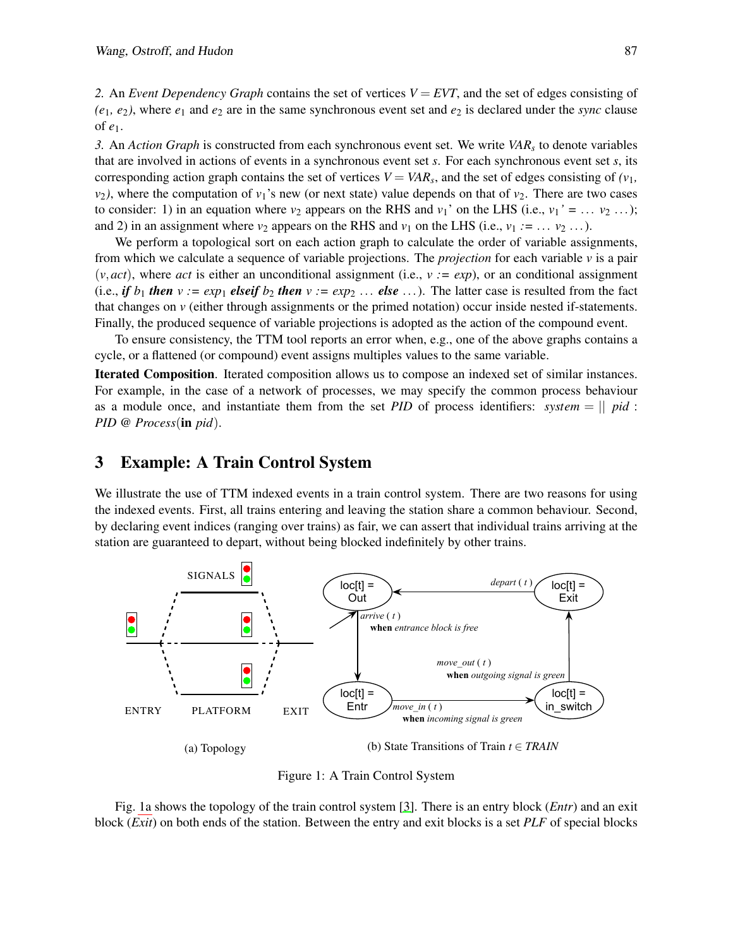*2.* An *Event Dependency Graph* contains the set of vertices *V* = *EVT*, and the set of edges consisting of  $(e_1, e_2)$ , where  $e_1$  and  $e_2$  are in the same synchronous event set and  $e_2$  is declared under the *sync* clause of *e*1.

*3.* An *Action Graph* is constructed from each synchronous event set. We write *VAR<sup>s</sup>* to denote variables that are involved in actions of events in a synchronous event set *s*. For each synchronous event set *s*, its corresponding action graph contains the set of vertices  $V = VAR_s$ , and the set of edges consisting of  $(v_1,$ *v*<sub>2</sub>), where the computation of *v*<sub>1</sub>'s new (or next state) value depends on that of *v*<sub>2</sub>. There are two cases to consider: 1) in an equation where  $v_2$  appears on the RHS and  $v_1'$  on the LHS (i.e.,  $v_1' = \ldots v_2 \ldots$ ); and 2) in an assignment where  $v_2$  appears on the RHS and  $v_1$  on the LHS (i.e.,  $v_1 := \ldots v_2 \ldots$ ).

We perform a topological sort on each action graph to calculate the order of variable assignments, from which we calculate a sequence of variable projections. The *projection* for each variable *v* is a pair  $(v, act)$ , where *act* is either an unconditional assignment (i.e.,  $v := exp$ ), or an conditional assignment (i.e., *if*  $b_1$  *then*  $v := exp_1$  *elseif*  $b_2$  *then*  $v := exp_2$  ... *else* ...). The latter case is resulted from the fact that changes on *v* (either through assignments or the primed notation) occur inside nested if-statements. Finally, the produced sequence of variable projections is adopted as the action of the compound event.

To ensure consistency, the TTM tool reports an error when, e.g., one of the above graphs contains a cycle, or a flattened (or compound) event assigns multiples values to the same variable.

Iterated Composition. Iterated composition allows us to compose an indexed set of similar instances. For example, in the case of a network of processes, we may specify the common process behaviour as a module once, and instantiate them from the set *PID* of process identifiers: *system* = || *pid* : *PID* @ *Process*(in *pid*).

#### <span id="page-6-0"></span>3 Example: A Train Control System

We illustrate the use of TTM indexed events in a train control system. There are two reasons for using the indexed events. First, all trains entering and leaving the station share a common behaviour. Second, by declaring event indices (ranging over trains) as fair, we can assert that individual trains arriving at the station are guaranteed to depart, without being blocked indefinitely by other trains.

<span id="page-6-1"></span>

Figure 1: A Train Control System

Fig. [1a](#page-6-1) shows the topology of the train control system [\[3\]](#page-13-5). There is an entry block (*Entr*) and an exit block (*Exit*) on both ends of the station. Between the entry and exit blocks is a set *PLF* of special blocks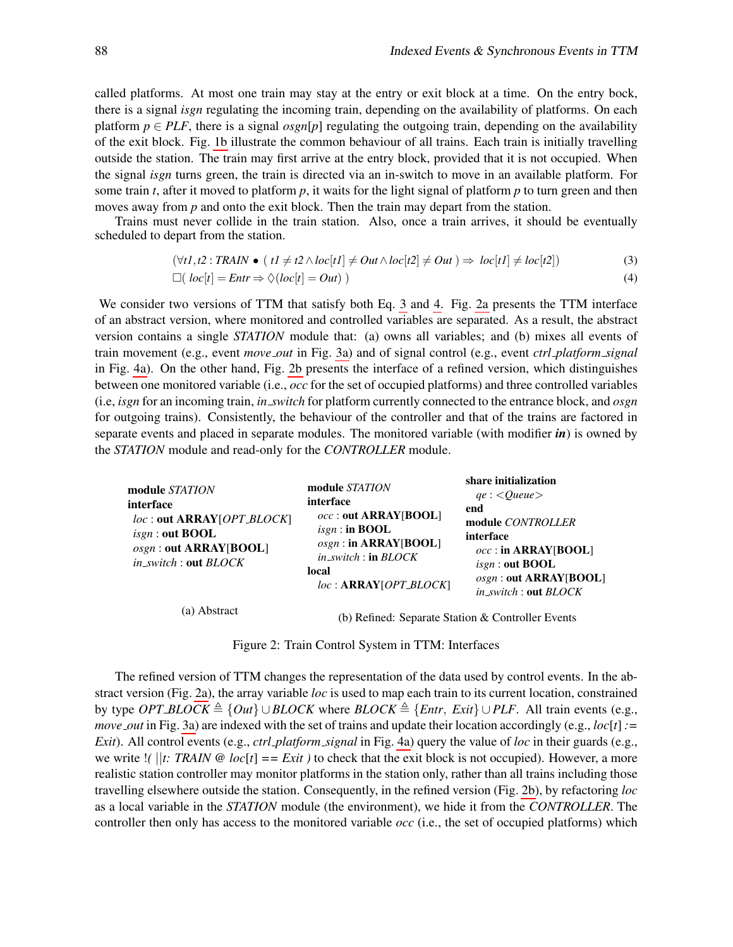hed: Separate Station & Controller Events

<span id="page-7-1"></span><span id="page-7-0"></span>share initialization

called platforms. At most one train may stay at the entry or exit block at a time. On the entry bock, there is a signal *isgn* regulating the incoming train, depending on the availability of platforms. On each platform  $p \in PLF$ , there is a signal *osgn*[*p*] regulating the outgoing train, depending on the availability of the exit block. Fig. [1b](#page-6-1) illustrate the common behaviour of all trains. Each train is initially travelling outside the station. The train may first arrive at the entry block, provided that it is not occupied. When the signal *isgn* turns green, the train is directed via an in-switch to move in an available platform. For some train *t*, after it moved to platform *p*, it waits for the light signal of platform *p* to turn green and then moves away from *p* and onto the exit block. Then the train may depart from the station.

Trains must never collide in the train station. Also, once a train arrives, it should be eventually scheduled to depart from the station.

$$
(\forall t1, t2 : TRAIN \bullet (t1 \neq t2 \land loc[t1] \neq Out \land loc[t2] \neq Out) \Rightarrow loc[t1] \neq loc[t2])
$$
\n(3)

$$
\Box (\text{ } loc[t] = \text{Entr} \Rightarrow \Diamond (\text{loc}[t] = \text{Out})) \tag{4}
$$

We consider two versions of TTM that satisfy both Eq. [3](#page-7-0) and [4.](#page-7-1) Fig. [2a](#page-7-2) presents the TTM interface of an abstract version, where monitored and controlled variables are separated. As a result, the abstract version contains a single *STATION* module that: (a) owns all variables; and (b) mixes all events of train movement (e.g., event *move out* in Fig. [3a\)](#page-8-1) and of signal control (e.g., event *ctrl platform signal* in Fig. [4a\)](#page-8-2). On the other hand, Fig. [2b](#page-7-2) presents the interface of a refined version, which distinguishes between one monitored variable (i.e.,  $occ$  for the set of occupied platforms) and three controlled variables (i.e, *isgn* for an incoming train, *in switch* for platform currently connected to the entrance block, and *osgn* for outgoing trains). Consistently, the behaviour of the controller and that of the trains are factored in separate events and placed in separate modules. The monitored variable (with modifier *in*) is owned by the STATION module and read-only for the CONTROLLER module.

<span id="page-7-2"></span>

| module STATION<br>interface<br>loc: out ARRAY [OPT_BLOCK]<br>$isgn$ : out BOOL<br>osgn: out ARRAY[BOOL]<br>in_switch: out BLOCK | module STATION<br>interface<br><i>occ</i> : out ARRAY[BOOL]<br>$isgn$ : in BOOL<br>$osgn$ : in ARRAY[BOOL]<br>$in\_switch$ : in $BLOCK$<br>local<br>$loc: ARRAY[OPT_BLOCK]$ | snare initialization<br>$qe: \langle Queue \rangle$<br>end<br>module CONTROLLER<br>interface<br>$occ$ : in ARRAY[BOOL]<br>$isgn$ : out BOOL<br>osgn: out ARRAY[BOOL]<br>$in\_switch$ : out $BLOCK$ |
|---------------------------------------------------------------------------------------------------------------------------------|-----------------------------------------------------------------------------------------------------------------------------------------------------------------------------|----------------------------------------------------------------------------------------------------------------------------------------------------------------------------------------------------|
| (a) Abstract                                                                                                                    |                                                                                                                                                                             | (b) Refined: Separate Station & Controller Events                                                                                                                                                  |

Figure 3: Train Control System in TTM: Interfaces Figure 2: Train Control System in TTM: Interfaces

by type OPT BLOCK  $\triangleq$  {Out}  $\cup$  BLOCK where BLOCK  $\triangleq$  {Entr, Exit}  $\cup$  PLF. All train events (e.g.,  $y_1, y_2, y_3, z_4, z_5, z_6, z_7, z_8, z_9, z_1, z_2, z_3, z_4, z_6, z_7, z_7, z_8, z_7, z_7, z_8, z_9, z_1, z_2, z_3, z_4, z_7, z_8, z_9, z_1, z_2, z_4, z_6, z_7, z_8, z_9, z_1, z_2, z_3, z_4, z_6, z_7, z_8, z_9, z_1, z_2, z_3, z_4, z_6, z_7, z_8, z_9, z_1, z_2, z_3, z_4,$ *Exit*). All control events (e.g., *ctrl\_platform\_signal* in Fig. [4a\)](#page-8-2) query the value of loc in their guards (e.g., we write  $|f|$ : TRAIN  $\omega$  loc[t] == Exit ) to check that the exit block is not occupied). However, a more realistic station controller may monitor platforms in the station only, rather than all trains including those travelling elsewhere outside the station. Consequently, in the refined version (Fig. 2b), by refactoring *loc* as a local variable in the *STATION* module (the environment), we hide it from the *CONTROLLER*. The controller then only has access to the monitored variable *occ* (i.e., the set of occupied platforms) which The refinement of the abstract train control system changes the representation of the data stract version (Fig. [2a\)](#page-7-2), the array variable *loc* is used to map each train to its current location, constrained The refined version of TTM changes the representation of the data used by control events. In the ab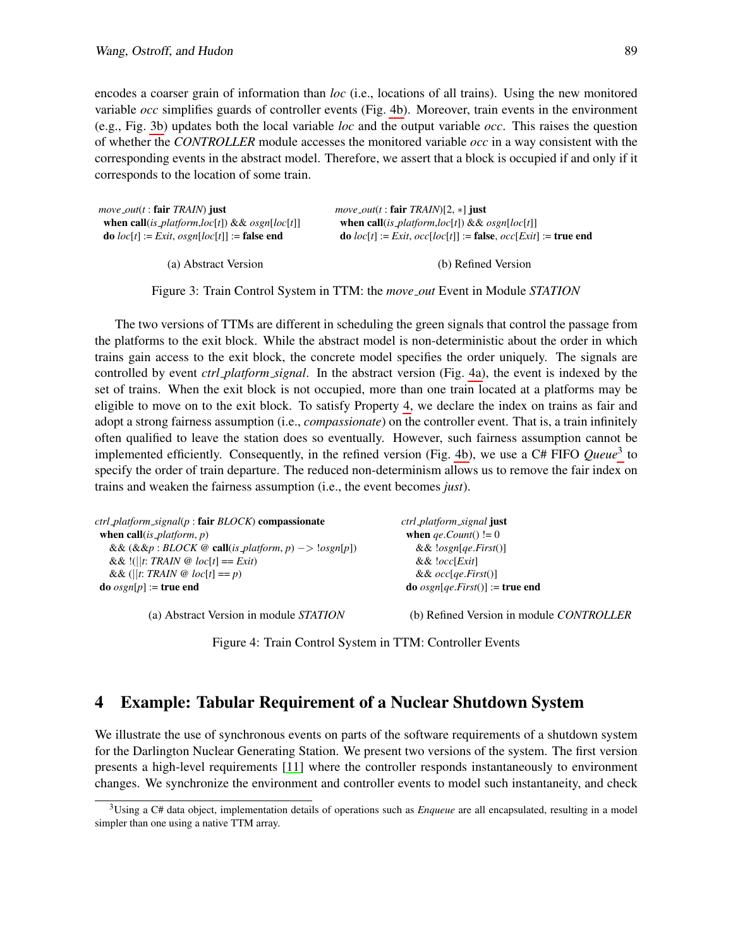encodes a coarser grain of information than *loc* (i.e., locations of all trains). Using the new monitored variable *occ* simplifies guards of controller events (Fig. [4b\)](#page-8-2). Moreover, train events in the environment (e.g., Fig. [3b\)](#page-8-1) updates both the local variable *loc* and the output variable *occ*. This raises the question of whether the *CONTROLLER* module accesses the monitored variable *occ* in a way consistent with the corresponding events in the abstract model. Therefore, we assert that a block is occupied if and only if it corresponds to the location of some train.

<span id="page-8-1"></span>

| $move\_out(t : \textbf{fair} \text{} \text{} \text{FAAIN})$ just | <i>move_out(t:fair TRAIN)</i> [2, $*$ ] just                                  |
|------------------------------------------------------------------|-------------------------------------------------------------------------------|
| when call(is_platform,loc[t]) && osgn[loc[t]]                    | when call(is_platform,loc[t]) && osgn[loc[t]]                                 |
| <b>do</b> $loc[t] := Exit$ , $osgn[loc[t]] :=$ <b>false end</b>  | <b>do</b> $loc[t] := Exit$ , $occ[loc[t]] := false$ , $occ[Exit] := true$ end |
|                                                                  |                                                                               |

(a) Abstract Version

(b) Refined Version

Figure 3: Train Control System in TTM: the *move out* Event in Module *STATION*

The two versions of TTMs are different in scheduling the green signals that control the passage from the platforms to the exit block. While the abstract model is non-deterministic about the order in which trains gain access to the exit block, the concrete model specifies the order uniquely. The signals are controlled by event *ctrl platform signal*. In the abstract version (Fig. [4a\)](#page-8-2), the event is indexed by the set of trains. When the exit block is not occupied, more than one train located at a platforms may be eligible to move on to the exit block. To satisfy Property [4,](#page-7-1) we declare the index on trains as fair and adopt a strong fairness assumption (i.e., *compassionate*) on the controller event. That is, a train infinitely often qualified to leave the station does so eventually. However, such fairness assumption cannot be implemented efficiently. Consequently, in the refined version (Fig. [4b\)](#page-8-2), we use a C# FIFO *Queue*[3](#page-8-3) to specify the order of train departure. The reduced non-determinism allows us to remove the fair index on trains and weaken the fairness assumption (i.e., the event becomes *just*).

<span id="page-8-2"></span>

| $ctrl$ -platform_signal(p: fair BLOCK) compassionate                                              | ctrl_platform_signal just                       |
|---------------------------------------------------------------------------------------------------|-------------------------------------------------|
| when call( <i>is_platform, p</i> )                                                                | when <i>ge.Count</i> () $!= 0$                  |
| && $(\&\&p : BLOCK \otimes \text{call}(is_\text{plafform}, p) -> \text{!} \oslash \text{sgn}[p])$ | $&\&$ !osgn[qe.First()]                         |
| && !(  t: TRAIN $\omega$ loc[t] == Exit)                                                          | $& \& \& \& \&$                                 |
| && (  t: TRAIN $\omega$ loc[t] == p)                                                              | && $occ[qe.First()]$                            |
| <b>do</b> $osgn[p] := true$ end                                                                   | <b>do</b> $osgn[qe.First()]:=$ <b>true end</b>  |
| (a) Abstract Version in module STATION                                                            | (b) Refined Version in module <i>CONTROLLER</i> |

Figure 4: Train Control System in TTM: Controller Events

## <span id="page-8-0"></span>4 Example: Tabular Requirement of a Nuclear Shutdown System

We illustrate the use of synchronous events on parts of the software requirements of a shutdown system for the Darlington Nuclear Generating Station. We present two versions of the system. The first version presents a high-level requirements [\[11\]](#page-13-2) where the controller responds instantaneously to environment changes. We synchronize the environment and controller events to model such instantaneity, and check

<span id="page-8-3"></span><sup>3</sup>Using a C# data object, implementation details of operations such as *Enqueue* are all encapsulated, resulting in a model simpler than one using a native TTM array.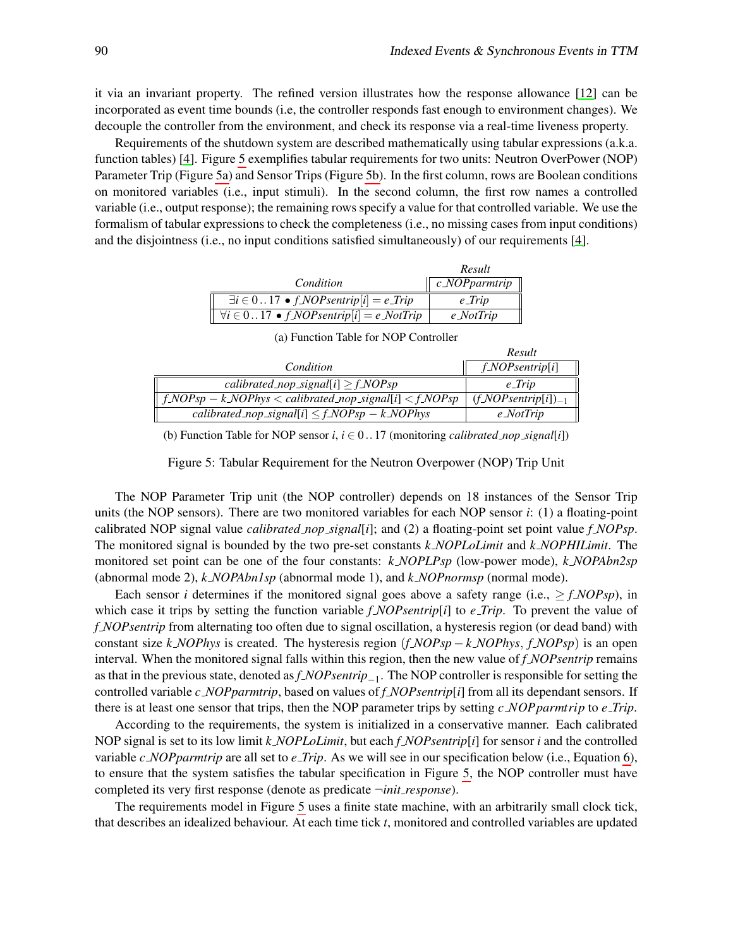it via an invariant property. The refined version illustrates how the response allowance [\[12\]](#page-13-6) can be incorporated as event time bounds (i.e, the controller responds fast enough to environment changes). We decouple the controller from the environment, and check its response via a real-time liveness property.

Requirements of the shutdown system are described mathematically using tabular expressions (a.k.a. function tables) [\[4\]](#page-13-7). Figure [5](#page-9-0) exemplifies tabular requirements for two units: Neutron OverPower (NOP) Parameter Trip (Figure [5a\)](#page-9-0) and Sensor Trips (Figure [5b\)](#page-9-0). In the first column, rows are Boolean conditions on monitored variables (i.e., input stimuli). In the second column, the first row names a controlled variable (i.e., output response); the remaining rows specify a value for that controlled variable. We use the formalism of tabular expressions to check the completeness (i.e., no missing cases from input conditions) and the disjointness (i.e., no input conditions satisfied simultaneously) of our requirements [\[4\]](#page-13-7).

|                                                                                                  | Result                                 |
|--------------------------------------------------------------------------------------------------|----------------------------------------|
| Condition                                                                                        | $\parallel c$ NOP parmirip $\parallel$ |
| $\exists i \in 017 \bullet f \text{.} \text{NOP} \text{.}$ $\text{[i]} = e \text{.} \text{Trip}$ | $e$ -Trip                              |
| $\forall i \in 017 \bullet f_NOP \in [i] = e_Not$                                                | $e$ <i>NotTrip</i>                     |

<span id="page-9-0"></span>

|                                                             | Result                                  |
|-------------------------------------------------------------|-----------------------------------------|
| Condition                                                   | $f_NOP$ sentrip[i]                      |
| calibrated_nop_signal[i] $\geq f_NOPsp$                     | e_Trip                                  |
| $f_NOPsp - k_NOPhys < calibrated\_nop\_signal[i] < f_NOPsp$ | $(f \text{NOP} \text{sentrip}[i])_{-1}$ |
| calibrated_nop_signal[i] $\leq f_NOPsp - k_NOPhys$          | $e$ <i>NotTrip</i>                      |

(a) Function Table for NOP Controller

| (b) Function Table for NOP sensor i, $i \in 017$ (monitoring <i>calibrated_nop_signal</i> [i]) |  |
|------------------------------------------------------------------------------------------------|--|
|------------------------------------------------------------------------------------------------|--|

Figure 5: Tabular Requirement for the Neutron Overpower (NOP) Trip Unit

The NOP Parameter Trip unit (the NOP controller) depends on 18 instances of the Sensor Trip units (the NOP sensors). There are two monitored variables for each NOP sensor *i*: (1) a floating-point calibrated NOP signal value *calibrated nop signal*[*i*]; and (2) a floating-point set point value *f NOPsp*. The monitored signal is bounded by the two pre-set constants *k NOPLoLimit* and *k NOPHILimit*. The monitored set point can be one of the four constants: *k NOPLPsp* (low-power mode), *k NOPAbn2sp* (abnormal mode 2), *k NOPAbn1sp* (abnormal mode 1), and *k NOPnormsp* (normal mode).

Each sensor *i* determines if the monitored signal goes above a safety range (i.e.,  $\geq f_NOPsp$ ), in which case it trips by setting the function variable *f NOPsentrip*[*i*] to *e Trip*. To prevent the value of *f NOPsentrip* from alternating too often due to signal oscillation, a hysteresis region (or dead band) with constant size *k NOPhys* is created. The hysteresis region (*f NOPsp* − *k NOPhys*, *f NOPsp*) is an open interval. When the monitored signal falls within this region, then the new value of *f NOPsentrip* remains as that in the previous state, denoted as *f NOPsentrip*−<sup>1</sup> . The NOP controller is responsible for setting the controlled variable *c NOPparmtrip*, based on values of *f NOPsentrip*[*i*] from all its dependant sensors. If there is at least one sensor that trips, then the NOP parameter trips by setting *c NOPparmtrip* to *e Trip*.

According to the requirements, the system is initialized in a conservative manner. Each calibrated NOP signal is set to its low limit *k NOPLoLimit*, but each *f NOPsentrip*[*i*] for sensor *i* and the controlled variable *c NOPparmtrip* are all set to *e Trip*. As we will see in our specification below (i.e., Equation [6\)](#page-11-0), to ensure that the system satisfies the tabular specification in Figure [5,](#page-9-0) the NOP controller must have completed its very first response (denote as predicate ¬*init response*).

The requirements model in Figure [5](#page-9-0) uses a finite state machine, with an arbitrarily small clock tick, that describes an idealized behaviour. At each time tick *t*, monitored and controlled variables are updated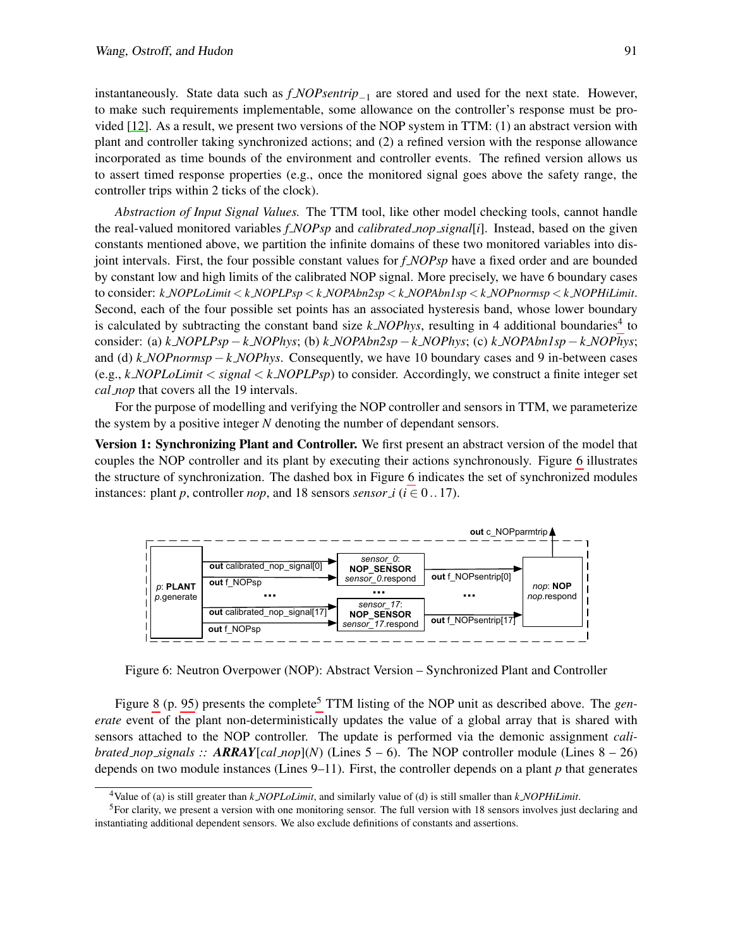instantaneously. State data such as *f NOPsentrip*−<sup>1</sup> are stored and used for the next state. However, to make such requirements implementable, some allowance on the controller's response must be provided [\[12\]](#page-13-6). As a result, we present two versions of the NOP system in TTM: (1) an abstract version with plant and controller taking synchronized actions; and (2) a refined version with the response allowance incorporated as time bounds of the environment and controller events. The refined version allows us to assert timed response properties (e.g., once the monitored signal goes above the safety range, the controller trips within 2 ticks of the clock).

*Abstraction of Input Signal Values.* The TTM tool, like other model checking tools, cannot handle the real-valued monitored variables *f NOPsp* and *calibrated nop signal*[*i*]. Instead, based on the given constants mentioned above, we partition the infinite domains of these two monitored variables into disjoint intervals. First, the four possible constant values for *f NOPsp* have a fixed order and are bounded by constant low and high limits of the calibrated NOP signal. More precisely, we have 6 boundary cases to consider: *k NOPLoLimit* < *k NOPLPsp* < *k NOPAbn2sp* < *k NOPAbn1sp* < *k NOPnormsp* < *k NOPHiLimit*. Second, each of the four possible set points has an associated hysteresis band, whose lower boundary is calculated by subtracting the constant band size  $k$  *NOPhys*, resulting in [4](#page-10-0) additional boundaries<sup>4</sup> to consider: (a) *k NOPLPsp*−*k NOPhys*; (b) *k NOPAbn2sp*−*k NOPhys*; (c) *k NOPAbn1sp*−*k NOPhys*; and (d) *k NOPnormsp*−*k NOPhys*. Consequently, we have 10 boundary cases and 9 in-between cases (e.g., *k NOPLoLimit* < *signal* < *k NOPLPsp*) to consider. Accordingly, we construct a finite integer set *cal nop* that covers all the 19 intervals.

For the purpose of modelling and verifying the NOP controller and sensors in TTM, we parameterize the system by a positive integer *N* denoting the number of dependant sensors.

**Version 1: Synchronizing Plant and Controller.** We first present an abstract version of the model that couples the NOP controller and its plant by executing their actions synchronously. Figure [6](#page-10-1) illustrates the structure of synchronization. The dashed box in Figure [6](#page-10-1) indicates the set of synchronized modules instances: plant *p*, controller *nop*, and 18 sensors *sensor i* ( $i \in 0..17$ ).

<span id="page-10-1"></span>

Figure 6: Neutron Overpower (NOP): Abstract Version – Synchronized Plant and Controller

Figure [8](#page-14-1) (p. [95\)](#page-14-1) presents the complete<sup>[5](#page-10-2)</sup> TTM listing of the NOP unit as described above. The *generate* event of the plant non-deterministically updates the value of a global array that is shared with sensors attached to the NOP controller. The update is performed via the demonic assignment *calibrated\_nop\_signals ::*  $ARRAY[cal\_$  $nop](N)$  (Lines 5 – 6). The NOP controller module (Lines 8 – 26) depends on two module instances (Lines  $9-11$ ). First, the controller depends on a plant  $p$  that generates

<span id="page-10-2"></span><span id="page-10-0"></span><sup>4</sup>Value of (a) is still greater than *k NOPLoLimit*, and similarly value of (d) is still smaller than *k NOPHiLimit*.

<sup>5</sup>For clarity, we present a version with one monitoring sensor. The full version with 18 sensors involves just declaring and instantiating additional dependent sensors. We also exclude definitions of constants and assertions.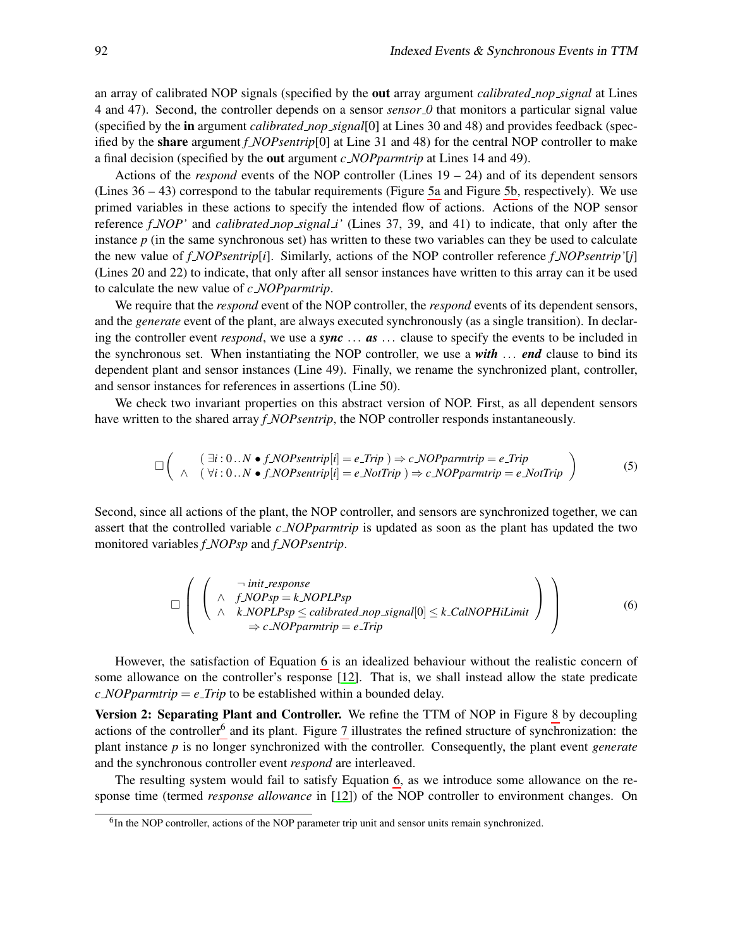an array of calibrated NOP signals (specified by the out array argument *calibrated nop signal* at Lines 4 and 47). Second, the controller depends on a sensor *sensor 0* that monitors a particular signal value (specified by the in argument *calibrated nop signal*[0] at Lines 30 and 48) and provides feedback (specified by the share argument *f NOPsentrip*[0] at Line 31 and 48) for the central NOP controller to make a final decision (specified by the out argument *c NOPparmtrip* at Lines 14 and 49).

Actions of the *respond* events of the NOP controller (Lines  $19 - 24$ ) and of its dependent sensors (Lines 36 – 43) correspond to the tabular requirements (Figure [5a](#page-9-0) and Figure [5b,](#page-9-0) respectively). We use primed variables in these actions to specify the intended flow of actions. Actions of the NOP sensor reference *f NOP'* and *calibrated nop signal i'* (Lines 37, 39, and 41) to indicate, that only after the instance *p* (in the same synchronous set) has written to these two variables can they be used to calculate the new value of *f NOPsentrip*[*i*]. Similarly, actions of the NOP controller reference *f NOPsentrip'*[*j*] (Lines 20 and 22) to indicate, that only after all sensor instances have written to this array can it be used to calculate the new value of *c NOPparmtrip*.

We require that the *respond* event of the NOP controller, the *respond* events of its dependent sensors, and the *generate* event of the plant, are always executed synchronously (as a single transition). In declaring the controller event *respond*, we use a *sync* ... *as* ... clause to specify the events to be included in the synchronous set. When instantiating the NOP controller, we use a *with* ... *end* clause to bind its dependent plant and sensor instances (Line 49). Finally, we rename the synchronized plant, controller, and sensor instances for references in assertions (Line 50).

We check two invariant properties on this abstract version of NOP. First, as all dependent sensors have written to the shared array *f NOPsentrip*, the NOP controller responds instantaneously.

<span id="page-11-2"></span>
$$
\Box \left( \begin{array}{cc} (\exists i: 0..N \bullet f \text{.} NOP \text{sentrip}[i] = e \text{.} Trip ) \Rightarrow c \text{.} NOP \text{paramtrip} = e \text{.} Trip \\ \wedge (\forall i: 0..N \bullet f \text{.} NOP \text{sentrip}[i] = e \text{.} Not Trip ) \Rightarrow c \text{.} NOP \text{paramtrip} = e \text{.} Not Trip \end{array} \right) \tag{5}
$$

Second, since all actions of the plant, the NOP controller, and sensors are synchronized together, we can assert that the controlled variable *c NOPparmtrip* is updated as soon as the plant has updated the two monitored variables *f NOPsp* and *f NOPsentrip*.

<span id="page-11-0"></span>
$$
\Box \left( \left( \begin{array}{cc} \neg \text{ init-response} \\ \wedge & f \text{.NOPsp} = k \text{.NOPLPsp} \\ \wedge & k \text{.NOPLPsp} \leq \text{calibrated} \text{.nop\_signal}[0] \leq k \text{.CalNOPHil\_imit} \end{array} \right) \right) \tag{6}
$$

$$
\Rightarrow c \text{.NOPparmtrip} = e \text{. Trip}
$$

However, the satisfaction of Equation [6](#page-11-0) is an idealized behaviour without the realistic concern of some allowance on the controller's response [\[12\]](#page-13-6). That is, we shall instead allow the state predicate  $c$  *NOPparmtrip* =  $e$ <sub>*-Trip* to be established within a bounded delay.</sub>

Version 2: Separating Plant and Controller. We refine the TTM of NOP in Figure [8](#page-14-1) by decoupling actions of the controller<sup>[6](#page-11-1)</sup> and its plant. Figure [7](#page-12-0) illustrates the refined structure of synchronization: the plant instance *p* is no longer synchronized with the controller. Consequently, the plant event *generate* and the synchronous controller event *respond* are interleaved.

The resulting system would fail to satisfy Equation [6,](#page-11-0) as we introduce some allowance on the response time (termed *response allowance* in [\[12\]](#page-13-6)) of the NOP controller to environment changes. On

<span id="page-11-1"></span><sup>&</sup>lt;sup>6</sup>In the NOP controller, actions of the NOP parameter trip unit and sensor units remain synchronized.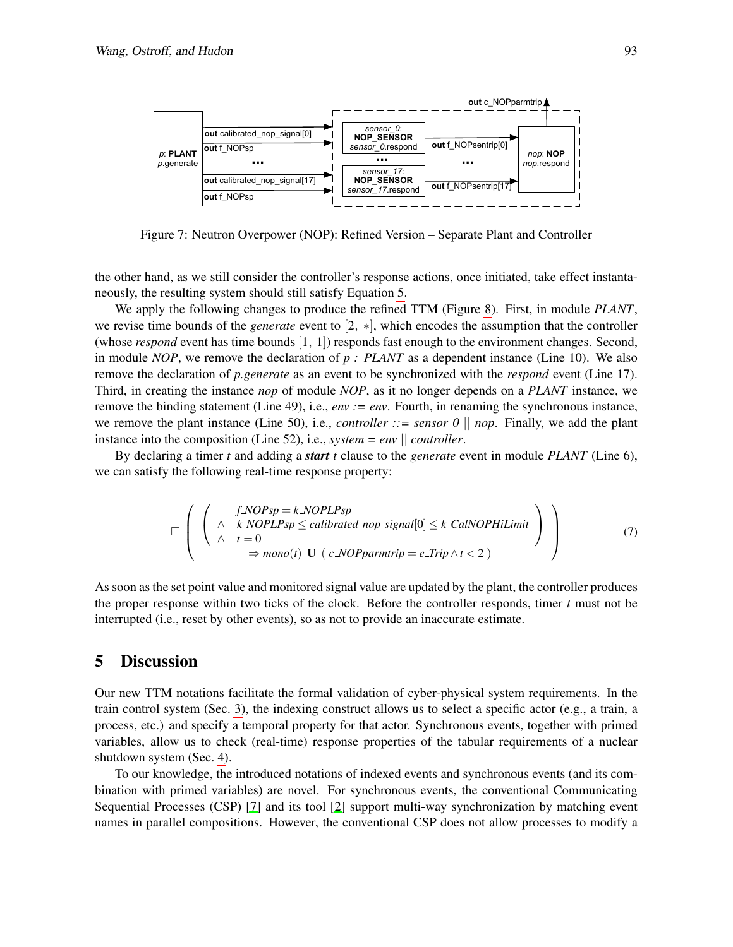<span id="page-12-0"></span>

Figure 7: Neutron Overpower (NOP): Refined Version – Separate Plant and Controller

the other hand, as we still consider the controller's response actions, once initiated, take effect instantaneously, the resulting system should still satisfy Equation [5.](#page-11-2)

We apply the following changes to produce the refined TTM (Figure [8\)](#page-14-1). First, in module *PLANT*, we revise time bounds of the *generate* event to [2, ∗], which encodes the assumption that the controller (whose *respond* event has time bounds [1, 1]) responds fast enough to the environment changes. Second, in module *NOP*, we remove the declaration of *p : PLANT* as a dependent instance (Line 10). We also remove the declaration of *p.generate* as an event to be synchronized with the *respond* event (Line 17). Third, in creating the instance *nop* of module *NOP*, as it no longer depends on a *PLANT* instance, we remove the binding statement (Line 49), i.e., *env := env*. Fourth, in renaming the synchronous instance, we remove the plant instance (Line 50), i.e., *controller ::= sensor*  $0 \parallel$  *nop*. Finally, we add the plant instance into the composition (Line 52), i.e., *system = env* || *controller*.

By declaring a timer *t* and adding a *start t* clause to the *generate* event in module *PLANT* (Line 6), we can satisfy the following real-time response property:

$$
\Box \left( \left( \begin{array}{cc} f \land \text{NOPsp} = k \land \text{OPLPsp} \\ \land & k \land \text{OPLPsp} \le \text{calibrated} \land \text{top\_signal}[0] \le k \quad \text{Cal} \text{NOPHiLimit} \\ \land & t = 0 \\ \Rightarrow \text{mono}(t) \ \mathbf{U} \ (\text{c} \land \text{OPparmtrip} = e \quad \text{Trip} \land t < 2 ) \end{array} \right) \right) \tag{7}
$$

As soon as the set point value and monitored signal value are updated by the plant, the controller produces the proper response within two ticks of the clock. Before the controller responds, timer *t* must not be interrupted (i.e., reset by other events), so as not to provide an inaccurate estimate.

#### 5 Discussion

Our new TTM notations facilitate the formal validation of cyber-physical system requirements. In the train control system (Sec. [3\)](#page-6-0), the indexing construct allows us to select a specific actor (e.g., a train, a process, etc.) and specify a temporal property for that actor. Synchronous events, together with primed variables, allow us to check (real-time) response properties of the tabular requirements of a nuclear shutdown system (Sec. [4\)](#page-8-0).

To our knowledge, the introduced notations of indexed events and synchronous events (and its combination with primed variables) are novel. For synchronous events, the conventional Communicating Sequential Processes (CSP) [\[7\]](#page-13-8) and its tool [\[2\]](#page-13-9) support multi-way synchronization by matching event names in parallel compositions. However, the conventional CSP does not allow processes to modify a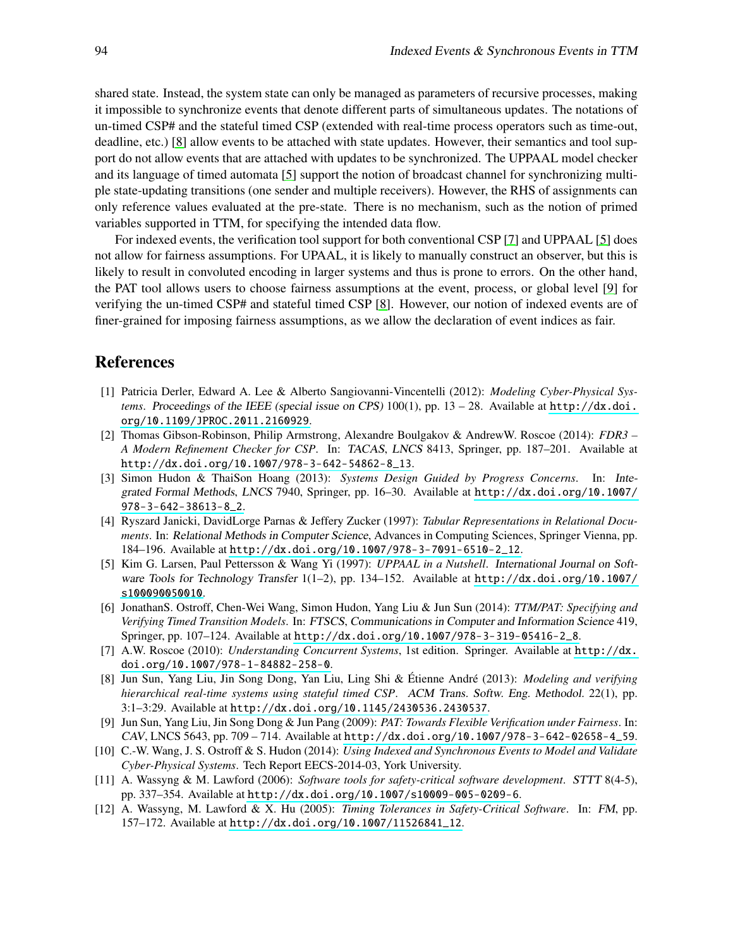shared state. Instead, the system state can only be managed as parameters of recursive processes, making it impossible to synchronize events that denote different parts of simultaneous updates. The notations of un-timed CSP# and the stateful timed CSP (extended with real-time process operators such as time-out, deadline, etc.) [\[8\]](#page-13-10) allow events to be attached with state updates. However, their semantics and tool support do not allow events that are attached with updates to be synchronized. The UPPAAL model checker and its language of timed automata [\[5\]](#page-13-11) support the notion of broadcast channel for synchronizing multiple state-updating transitions (one sender and multiple receivers). However, the RHS of assignments can only reference values evaluated at the pre-state. There is no mechanism, such as the notion of primed variables supported in TTM, for specifying the intended data flow.

For indexed events, the verification tool support for both conventional CSP [\[7\]](#page-13-8) and UPPAAL [\[5\]](#page-13-11) does not allow for fairness assumptions. For UPAAL, it is likely to manually construct an observer, but this is likely to result in convoluted encoding in larger systems and thus is prone to errors. On the other hand, the PAT tool allows users to choose fairness assumptions at the event, process, or global level [\[9\]](#page-13-4) for verifying the un-timed CSP# and stateful timed CSP [\[8\]](#page-13-10). However, our notion of indexed events are of finer-grained for imposing fairness assumptions, as we allow the declaration of event indices as fair.

#### References

- <span id="page-13-0"></span>[1] Patricia Derler, Edward A. Lee & Alberto Sangiovanni-Vincentelli (2012): *Modeling Cyber-Physical Systems.* Proceedings of the IEEE (special issue on CPS) 100(1), pp. 13 – 28. Available at [http://dx.doi.](http://dx.doi.org/10.1109/JPROC.2011.2160929) [org/10.1109/JPROC.2011.2160929](http://dx.doi.org/10.1109/JPROC.2011.2160929).
- <span id="page-13-9"></span>[2] Thomas Gibson-Robinson, Philip Armstrong, Alexandre Boulgakov & AndrewW. Roscoe (2014): *FDR3 – A Modern Refinement Checker for CSP*. In: TACAS, LNCS 8413, Springer, pp. 187–201. Available at [http://dx.doi.org/10.1007/978-3-642-54862-8\\_13](http://dx.doi.org/10.1007/978-3-642-54862-8_13).
- <span id="page-13-5"></span>[3] Simon Hudon & ThaiSon Hoang (2013): *Systems Design Guided by Progress Concerns*. In: Integrated Formal Methods, LNCS 7940, Springer, pp. 16–30. Available at [http://dx.doi.org/10.1007/](http://dx.doi.org/10.1007/978-3-642-38613-8_2) [978-3-642-38613-8\\_2](http://dx.doi.org/10.1007/978-3-642-38613-8_2).
- <span id="page-13-7"></span>[4] Ryszard Janicki, DavidLorge Parnas & Jeffery Zucker (1997): *Tabular Representations in Relational Documents*. In: Relational Methods in Computer Science, Advances in Computing Sciences, Springer Vienna, pp. 184–196. Available at [http://dx.doi.org/10.1007/978-3-7091-6510-2\\_12](http://dx.doi.org/10.1007/978-3-7091-6510-2_12).
- <span id="page-13-11"></span>[5] Kim G. Larsen, Paul Pettersson & Wang Yi (1997): *UPPAAL in a Nutshell*. International Journal on Software Tools for Technology Transfer 1(1–2), pp. 134–152. Available at [http://dx.doi.org/10.1007/](http://dx.doi.org/10.1007/s100090050010) [s100090050010](http://dx.doi.org/10.1007/s100090050010).
- <span id="page-13-1"></span>[6] JonathanS. Ostroff, Chen-Wei Wang, Simon Hudon, Yang Liu & Jun Sun (2014): *TTM/PAT: Specifying and Verifying Timed Transition Models*. In: FTSCS, Communications in Computer and Information Science 419, Springer, pp. 107–124. Available at [http://dx.doi.org/10.1007/978-3-319-05416-2\\_8](http://dx.doi.org/10.1007/978-3-319-05416-2_8).
- <span id="page-13-8"></span>[7] A.W. Roscoe (2010): *Understanding Concurrent Systems*, 1st edition. Springer. Available at [http://dx.](http://dx.doi.org/10.1007/978-1-84882-258-0) [doi.org/10.1007/978-1-84882-258-0](http://dx.doi.org/10.1007/978-1-84882-258-0).
- <span id="page-13-10"></span>[8] Jun Sun, Yang Liu, Jin Song Dong, Yan Liu, Ling Shi & Étienne André (2013): *Modeling and verifying hierarchical real-time systems using stateful timed CSP*. ACM Trans. Softw. Eng. Methodol. 22(1), pp. 3:1–3:29. Available at <http://dx.doi.org/10.1145/2430536.2430537>.
- <span id="page-13-4"></span>[9] Jun Sun, Yang Liu, Jin Song Dong & Jun Pang (2009): *PAT: Towards Flexible Verification under Fairness*. In: CAV, LNCS 5643, pp. 709 – 714. Available at [http://dx.doi.org/10.1007/978-3-642-02658-4\\_59](http://dx.doi.org/10.1007/978-3-642-02658-4_59).
- <span id="page-13-3"></span>[10] C.-W. Wang, J. S. Ostroff & S. Hudon (2014): *Using Indexed and Synchronous Events to Model and Validate Cyber-Physical Systems*. Tech Report EECS-2014-03, York University.
- <span id="page-13-2"></span>[11] A. Wassyng & M. Lawford (2006): *Software tools for safety-critical software development*. STTT 8(4-5), pp. 337–354. Available at <http://dx.doi.org/10.1007/s10009-005-0209-6>.
- <span id="page-13-6"></span>[12] A. Wassyng, M. Lawford & X. Hu (2005): *Timing Tolerances in Safety-Critical Software*. In: FM, pp. 157–172. Available at [http://dx.doi.org/10.1007/11526841\\_12](http://dx.doi.org/10.1007/11526841_12).